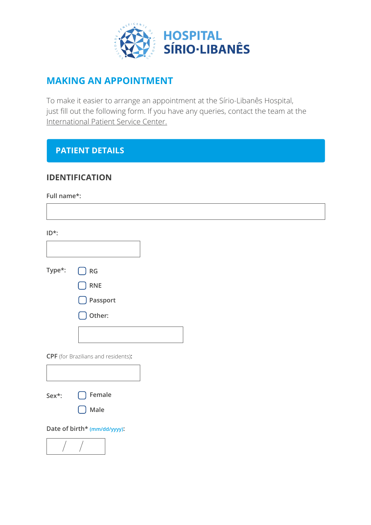

# **MAKING AN APPOINTMENT**

To make it easier to arrange an appointment at the Sírio-Libanês Hospital, just fill out the following form. If you have any queries, contact the team at the International Patient Service Center.

## **PATIENT DETAILS**

## **IDENTIFICATION**

**Full name\*:**

| ID*:   |                                                |
|--------|------------------------------------------------|
|        |                                                |
| Type*: | $\left[\begin{array}{c} \end{array}\right]$ RG |
|        | $\bigcap$ RNE                                  |
|        | $\bigcup$ Passport                             |
|        | Other:                                         |
|        |                                                |
|        | CPF (for Brazilians and residents):            |
|        |                                                |
| Sex*:  | $\bigcap$ Female                               |
|        | Male                                           |
|        | Date of birth* (mm/dd/yyyy):                   |
|        |                                                |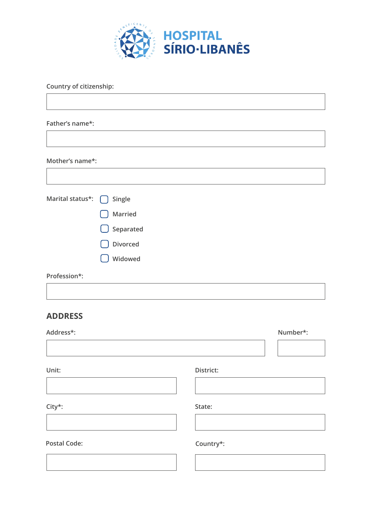

**Country of citizenship:**

**Father's name\*:**

**Mother's name\*:**

| Marital status*: $\bigcap$ Single |                     |
|-----------------------------------|---------------------|
|                                   | Married             |
|                                   | $\bigcup$ Separated |
|                                   | Divorced            |
|                                   | Widowed             |
| Profession*:                      |                     |

#### **ADDRESS**

| Address*: |           | Number*: |
|-----------|-----------|----------|
|           |           |          |
| Unit:     | District: |          |
|           |           |          |

**City\*:**

**Postal Code: Country\*:**

**State:**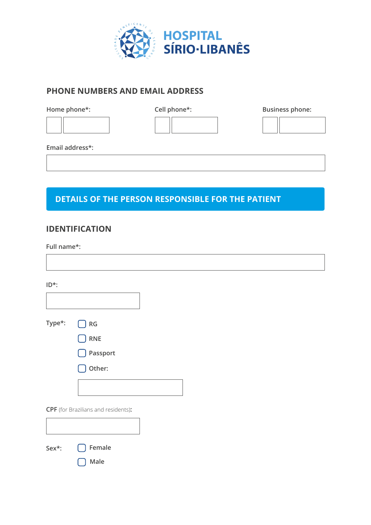

## **PHONE NUMBERS AND EMAIL ADDRESS**

**Home phone\*: Cell phone\*: Cell phone\*: Business phone:** 

**Email address\*:**

# **DETAILS OF THE PERSON RESPONSIBLE FOR THE PATIENT**

#### **IDENTIFICATION**

**Full name\*:**

 $\overline{\Gamma}$ 

| $ID^*$ : |                                            |  |  |
|----------|--------------------------------------------|--|--|
|          |                                            |  |  |
| Type*:   | RG                                         |  |  |
|          | <b>RNE</b>                                 |  |  |
|          | Passport                                   |  |  |
|          | Other:                                     |  |  |
|          |                                            |  |  |
|          | <b>CPF</b> (for Brazilians and residents): |  |  |
|          |                                            |  |  |
| Sex*:    | Female                                     |  |  |

**Male**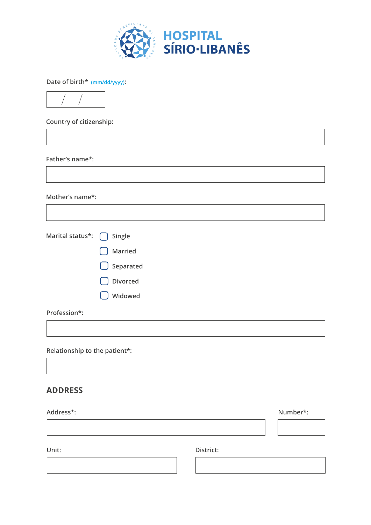

**Date of birth\* (mm/dd/yyyy):**



**Country of citizenship:**

**Father's name\*:**

**Mother's name\*:**

| Marital status*: next Single |                      |
|------------------------------|----------------------|
|                              | Married              |
|                              | $\bigcirc$ Separated |
|                              | <b>Divorced</b>      |
|                              | Widowed              |
| Profession*:                 |                      |
|                              |                      |

**Relationship to the patient\*:**

#### **ADDRESS**

| Address*: |           | Number*: |
|-----------|-----------|----------|
|           |           |          |
| Unit:     | District: |          |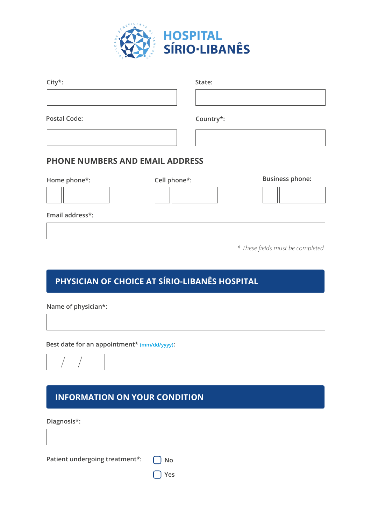

| City*:                                 | State:       |                        |
|----------------------------------------|--------------|------------------------|
|                                        |              |                        |
| <b>Postal Code:</b>                    | Country*:    |                        |
|                                        |              |                        |
| <b>PHONE NUMBERS AND EMAIL ADDRESS</b> |              |                        |
| Home phone*:                           | Cell phone*: | <b>Business phone:</b> |
|                                        |              |                        |

**Email address\*:**

*\* These fields must be completed*

# **PHYSICIAN OF CHOICE AT SÍRIO-LIBANÊS HOSPITAL**

**Name of physician\*:**

**Best date for an appointment\* (mm/dd/yyyy):**



## **INFORMATION ON YOUR CONDITION**

**Diagnosis\*:**

**Patient undergoing treatment\*:**  $\bigcap$  No

**Yes**